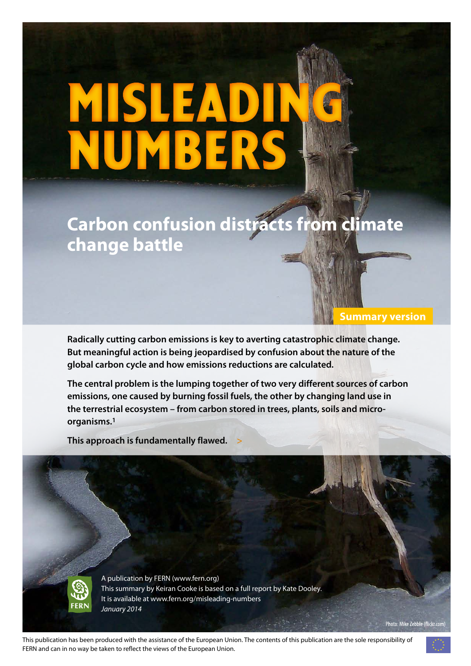# MISLEADING numbers

# **Carbon confusion distracts from climate change battle**

**Radically cutting carbon emissions is key to averting catastrophic climate change. But meaningful action is being jeopardised by confusion about the nature of the global carbon cycle and how emissions reductions are calculated.** 

**The central problem is the lumping together of two very different sources of carbon emissions, one caused by burning fossil fuels, the other by changing land use in the terrestrial ecosystem – from carbon stored in trees, plants, soils and microorganisms.1**

**This approach is fundamentally flawed. >**



A publication by FERN [\(www.fern.org](www.fern.org)) This summary by Keiran Cooke is based on a full report by Kate Dooley. It is available at<www.fern.org/misleading-numbers> *January 2014*

This publication has been produced with the assistance of the European Union. The contents of this publication are the sole responsibility of FERN and can in no way be taken to reflect the views of the European Union.

Photo: Mike Zebble (flickr.com)

**Summary version**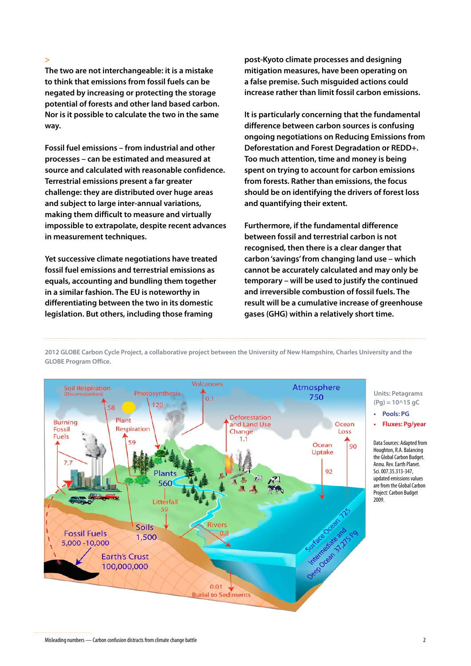**>**

**The two are not interchangeable: it is a mistake to think that emissions from fossil fuels can be negated by increasing or protecting the storage potential of forests and other land based carbon. Nor is it possible to calculate the two in the same way.** 

**Fossil fuel emissions – from industrial and other processes – can be estimated and measured at source and calculated with reasonable confidence. Terrestrial emissions present a far greater challenge: they are distributed over huge areas and subject to large inter-annual variations, making them difficult to measure and virtually impossible to extrapolate, despite recent advances in measurement techniques.**

**Yet successive climate negotiations have treated fossil fuel emissions and terrestrial emissions as equals, accounting and bundling them together in a similar fashion. The EU is noteworthy in differentiating between the two in its domestic legislation. But others, including those framing** 

**post-Kyoto climate processes and designing mitigation measures, have been operating on a false premise. Such misguided actions could increase rather than limit fossil carbon emissions.**

**It is particularly concerning that the fundamental difference between carbon sources is confusing ongoing negotiations on Reducing Emissions from Deforestation and Forest Degradation or REDD+. Too much attention, time and money is being spent on trying to account for carbon emissions from forests. Rather than emissions, the focus should be on identifying the drivers of forest loss and quantifying their extent.**

**Furthermore, if the fundamental difference between fossil and terrestrial carbon is not recognised, then there is a clear danger that carbon 'savings' from changing land use – which cannot be accurately calculated and may only be temporary – will be used to justify the continued and irreversible combustion of fossil fuels. The result will be a cumulative increase of greenhouse gases (GHG) within a relatively short time.**



**2012 GLOBE Carbon Cycle Project, a collaborative project between the University of New Hampshire, Charles University and the GLOBE Program Office.**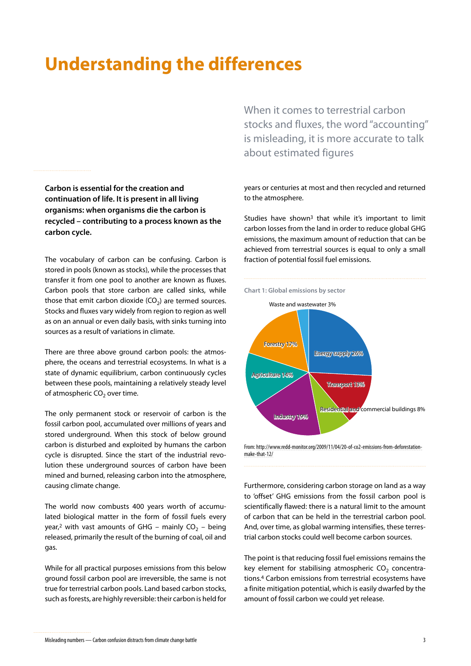#### **Understanding the differences**

**Carbon is essential for the creation and continuation of life. It is present in all living organisms: when organisms die the carbon is recycled – contributing to a process known as the carbon cycle.** 

The vocabulary of carbon can be confusing. Carbon is stored in pools (known as stocks), while the processes that transfer it from one pool to another are known as fluxes. Carbon pools that store carbon are called sinks, while those that emit carbon dioxide  $(CO<sub>2</sub>)$  are termed sources. Stocks and fluxes vary widely from region to region as well as on an annual or even daily basis, with sinks turning into sources as a result of variations in climate.

There are three above ground carbon pools: the atmosphere, the oceans and terrestrial ecosystems. In what is a state of dynamic equilibrium, carbon continuously cycles between these pools, maintaining a relatively steady level of atmospheric  $CO<sub>2</sub>$  over time.

The only permanent stock or reservoir of carbon is the fossil carbon pool, accumulated over millions of years and stored underground. When this stock of below ground carbon is disturbed and exploited by humans the carbon cycle is disrupted. Since the start of the industrial revolution these underground sources of carbon have been mined and burned, releasing carbon into the atmosphere, causing climate change.

The world now combusts 400 years worth of accumulated biological matter in the form of fossil fuels every year,<sup>2</sup> with vast amounts of GHG – mainly  $CO<sub>2</sub>$  – being released, primarily the result of the burning of coal, oil and gas.

While for all practical purposes emissions from this below ground fossil carbon pool are irreversible, the same is not true for terrestrial carbon pools. Land based carbon stocks, such as forests, are highly reversible: their carbon is held for

When it comes to terrestrial carbon stocks and fluxes, the word "accounting" is misleading, it is more accurate to talk about estimated figures

years or centuries at most and then recycled and returned to the atmosphere.

Studies have shown<sup>3</sup> that while it's important to limit carbon losses from the land in order to reduce global GHG emissions, the maximum amount of reduction that can be achieved from terrestrial sources is equal to only a small fraction of potential fossil fuel emissions.



From: [http://www.redd-monitor.org/2009/11/04/20-of-co2-emissions-from-deforestation](http://www.redd-monitor.org/2009/11/04/20-of-co2-emissions-from-deforestation-make-that-12/)[make-that-12/](http://www.redd-monitor.org/2009/11/04/20-of-co2-emissions-from-deforestation-make-that-12/)

Furthermore, considering carbon storage on land as a way to 'offset' GHG emissions from the fossil carbon pool is scientifically flawed: there is a natural limit to the amount of carbon that can be held in the terrestrial carbon pool. And, over time, as global warming intensifies, these terrestrial carbon stocks could well become carbon sources.

The point is that reducing fossil fuel emissions remains the key element for stabilising atmospheric  $CO<sub>2</sub>$  concentrations.4 Carbon emissions from terrestrial ecosystems have a finite mitigation potential, which is easily dwarfed by the amount of fossil carbon we could yet release.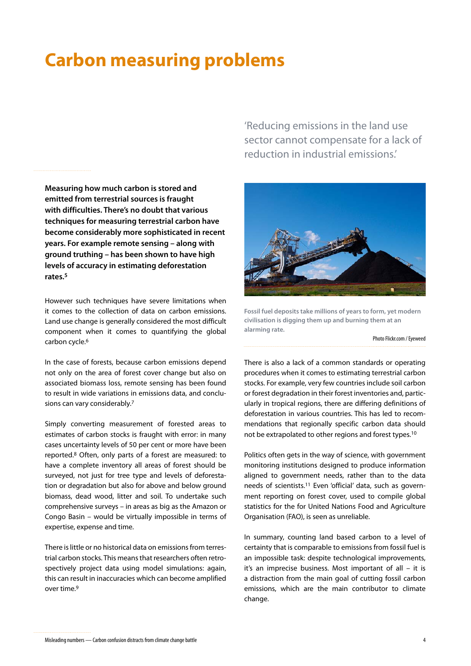### **Carbon measuring problems**

**Measuring how much carbon is stored and emitted from terrestrial sources is fraught with difficulties. There's no doubt that various techniques for measuring terrestrial carbon have become considerably more sophisticated in recent years. For example remote sensing – along with ground truthing – has been shown to have high levels of accuracy in estimating deforestation rates.5**

However such techniques have severe limitations when it comes to the collection of data on carbon emissions. Land use change is generally considered the most difficult component when it comes to quantifying the global carbon cycle.6

In the case of forests, because carbon emissions depend not only on the area of forest cover change but also on associated biomass loss, remote sensing has been found to result in wide variations in emissions data, and conclusions can vary considerably.7

Simply converting measurement of forested areas to estimates of carbon stocks is fraught with error: in many cases uncertainty levels of 50 per cent or more have been reported.8 Often, only parts of a forest are measured: to have a complete inventory all areas of forest should be surveyed, not just for tree type and levels of deforestation or degradation but also for above and below ground biomass, dead wood, litter and soil. To undertake such comprehensive surveys – in areas as big as the Amazon or Congo Basin – would be virtually impossible in terms of expertise, expense and time.

There is little or no historical data on emissions from terrestrial carbon stocks. This means that researchers often retrospectively project data using model simulations: again, this can result in inaccuracies which can become amplified over time.<sup>9</sup>

'Reducing emissions in the land use sector cannot compensate for a lack of reduction in industrial emissions.'



**Fossil fuel deposits take millions of years to form, yet modern civilisation is digging them up and burning them at an alarming rate.**

Photo Flickr.com / Eyeweed

There is also a lack of a common standards or operating procedures when it comes to estimating terrestrial carbon stocks. For example, very few countries include soil carbon or forest degradation in their forest inventories and, particularly in tropical regions, there are differing definitions of deforestation in various countries. This has led to recommendations that regionally specific carbon data should not be extrapolated to other regions and forest types.10

Politics often gets in the way of science, with government monitoring institutions designed to produce information aligned to government needs, rather than to the data needs of scientists.11 Even 'official' data, such as government reporting on forest cover, used to compile global statistics for the for United Nations Food and Agriculture Organisation (FAO), is seen as unreliable.

In summary, counting land based carbon to a level of certainty that is comparable to emissions from fossil fuel is an impossible task: despite technological improvements, it's an imprecise business. Most important of all – it is a distraction from the main goal of cutting fossil carbon emissions, which are the main contributor to climate change.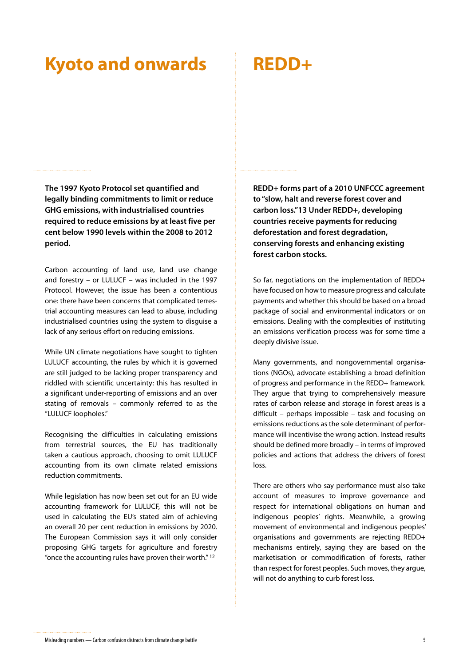#### **Kyoto and onwards**

## **REDD+**

**The 1997 Kyoto Protocol set quantified and legally binding commitments to limit or reduce GHG emissions, with industrialised countries required to reduce emissions by at least five per cent below 1990 levels within the 2008 to 2012 period.** 

Carbon accounting of land use, land use change and forestry – or LULUCF – was included in the 1997 Protocol. However, the issue has been a contentious one: there have been concerns that complicated terrestrial accounting measures can lead to abuse, including industrialised countries using the system to disguise a lack of any serious effort on reducing emissions.

While UN climate negotiations have sought to tighten LULUCF accounting, the rules by which it is governed are still judged to be lacking proper transparency and riddled with scientific uncertainty: this has resulted in a significant under-reporting of emissions and an over stating of removals – commonly referred to as the "LULUCF loopholes."

Recognising the difficulties in calculating emissions from terrestrial sources, the EU has traditionally taken a cautious approach, choosing to omit LULUCF accounting from its own climate related emissions reduction commitments.

While legislation has now been set out for an EU wide accounting framework for LULUCF, this will not be used in calculating the EU's stated aim of achieving an overall 20 per cent reduction in emissions by 2020. The European Commission says it will only consider proposing GHG targets for agriculture and forestry "once the accounting rules have proven their worth." 12

**REDD+ forms part of a 2010 UNFCCC agreement to "slow, halt and reverse forest cover and carbon loss."13 Under REDD+, developing countries receive payments for reducing deforestation and forest degradation, conserving forests and enhancing existing forest carbon stocks.** 

So far, negotiations on the implementation of REDD+ have focused on how to measure progress and calculate payments and whether this should be based on a broad package of social and environmental indicators or on emissions. Dealing with the complexities of instituting an emissions verification process was for some time a deeply divisive issue.

Many governments, and nongovernmental organisations (NGOs), advocate establishing a broad definition of progress and performance in the REDD+ framework. They argue that trying to comprehensively measure rates of carbon release and storage in forest areas is a difficult – perhaps impossible – task and focusing on emissions reductions as the sole determinant of performance will incentivise the wrong action. Instead results should be defined more broadly – in terms of improved policies and actions that address the drivers of forest loss.

There are others who say performance must also take account of measures to improve governance and respect for international obligations on human and indigenous peoples' rights. Meanwhile, a growing movement of environmental and indigenous peoples' organisations and governments are rejecting REDD+ mechanisms entirely, saying they are based on the marketisation or commodification of forests, rather than respect for forest peoples. Such moves, they argue, will not do anything to curb forest loss.